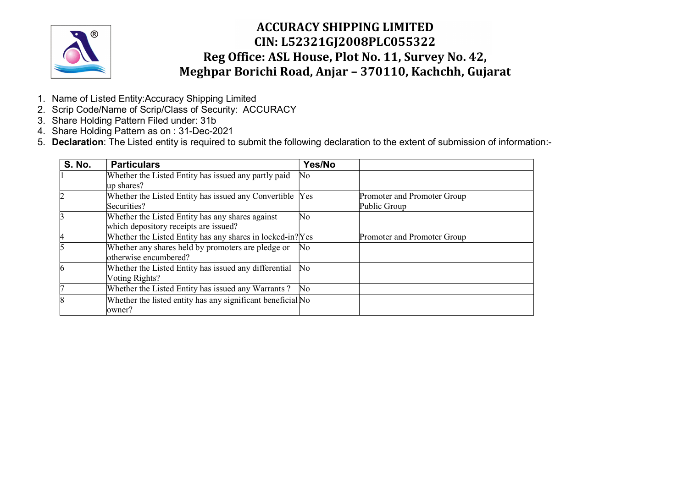

- 1. Name of Listed Entity:Accuracy Shipping Limited
- 2. Scrip Code/Name of Scrip/Class of Security: ACCURACY
- 3. Share Holding Pattern Filed under: 31b
- 4. Share Holding Pattern as on : 31-Dec-2021
- 5. Declaration: The Listed entity is required to submit the following declaration to the extent of submission of information:-

| <b>S. No.</b> | <b>Particulars</b>                                          | Yes/No         |                             |
|---------------|-------------------------------------------------------------|----------------|-----------------------------|
|               | Whether the Listed Entity has issued any partly paid        | No             |                             |
|               | up shares?                                                  |                |                             |
|               | Whether the Listed Entity has issued any Convertible Yes    |                | Promoter and Promoter Group |
|               | Securities?                                                 |                | Public Group                |
|               | Whether the Listed Entity has any shares against            | No             |                             |
|               | which depository receipts are issued?                       |                |                             |
|               | Whether the Listed Entity has any shares in locked-in? Yes  |                | Promoter and Promoter Group |
|               | Whether any shares held by promoters are pledge or          | No             |                             |
|               | otherwise encumbered?                                       |                |                             |
|               | Whether the Listed Entity has issued any differential       | N <sub>0</sub> |                             |
|               | Voting Rights?                                              |                |                             |
|               | Whether the Listed Entity has issued any Warrants?          | No.            |                             |
|               | Whether the listed entity has any significant beneficial No |                |                             |
|               | owner?                                                      |                |                             |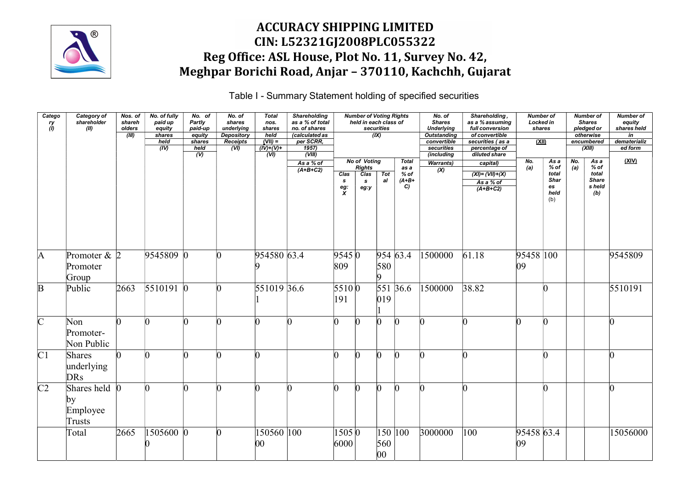

Table I - Summary Statement holding of specified securities

| Catego<br>$\frac{ry}{(l)}$ | Category of<br>shareholder<br>(II)                       | Nos. of<br>shareh<br>olders<br>(III) | No. of fully<br>paid up<br>equity<br>shares<br>held<br>(IV) | No. of<br><b>Partly</b><br>paid-up<br>equity<br>shares<br>held<br>(V) | No. of<br>shares<br>underlying<br><b>Depository</b><br>Receipts<br>$\overline{(V)}$ | <b>Total</b><br>nos.<br>shares<br>held<br>$(VII) =$<br>$(IV)+(V)+$<br>(WI) | <b>Shareholding</b><br>as a % of total<br>no. of shares<br>(calculated as<br>per SCRR,<br>1957)<br>(WIII) |                                | <b>Number of Voting Rights</b><br>held in each class of<br>securities<br>(IX) |                                       | No. of<br><b>Shares</b><br><b>Underlying</b><br><b>Outstanding</b><br>convertible<br>securities<br>(including | Shareholding,<br>as a % assuming<br>full conversion<br>of convertible<br>securities (as a<br>percentage of<br>diluted share | <b>Number of</b><br>Locked in<br>shares<br>(XII) |                                                    |                 | <b>Number of</b><br><b>Shares</b><br>pledged or<br>otherwise<br>encumbered<br>(XIII) | <b>Number of</b><br>equity<br>shares held<br>in<br>dematerializ<br>ed form |
|----------------------------|----------------------------------------------------------|--------------------------------------|-------------------------------------------------------------|-----------------------------------------------------------------------|-------------------------------------------------------------------------------------|----------------------------------------------------------------------------|-----------------------------------------------------------------------------------------------------------|--------------------------------|-------------------------------------------------------------------------------|---------------------------------------|---------------------------------------------------------------------------------------------------------------|-----------------------------------------------------------------------------------------------------------------------------|--------------------------------------------------|----------------------------------------------------|-----------------|--------------------------------------------------------------------------------------|----------------------------------------------------------------------------|
|                            |                                                          |                                      |                                                             |                                                                       |                                                                                     |                                                                            | As a % of<br>$(A+B+C2)$                                                                                   | Clas<br><b>S</b><br>eg: $\chi$ | No of Voting<br>Rights<br>Clas<br>Tot<br>a<br>$\mathbf{s}$<br>eg:y            | Total<br>as a<br>% of<br>$(A+B+$<br>C | <b>Warrants</b> )<br>(X)                                                                                      | capital)<br>$(XI) = (VII)+(X)$<br>As a % of<br>$(A+B+C2)$                                                                   | No.<br>(a)                                       | As a<br>% of<br>total<br>Shar<br>es<br>held<br>(b) | $N$ o.<br>$(a)$ | As a<br>$%$ of<br>total<br><b>Share</b><br>s held<br>(b)                             | <u>(XIV)</u>                                                               |
| $\mathbf{A}$               | Promoter $\&$ 2<br>Promoter<br>Group                     |                                      | 9545809 0                                                   |                                                                       | $\Omega$                                                                            | 954580 63.4                                                                |                                                                                                           | 9545 0<br>809                  | 580<br>$\vert 0 \vert$                                                        | 954 63.4                              | 1500000                                                                                                       | 61.18                                                                                                                       | 95458 100<br>$ 09\rangle$                        |                                                    |                 |                                                                                      | 9545809                                                                    |
| B                          | Public                                                   | 2663                                 | $5510191$ 0                                                 |                                                                       | n                                                                                   | 551019 36.6                                                                |                                                                                                           | 5510 0<br>191                  | $ 019\rangle$                                                                 | $\overline{551}$ 36.6                 | 1500000                                                                                                       | 38.82                                                                                                                       |                                                  | $\Omega$                                           |                 |                                                                                      | 5510191                                                                    |
| $\overline{C}$             | Non<br>Promoter-<br>Non Public                           | n                                    |                                                             |                                                                       |                                                                                     |                                                                            |                                                                                                           |                                | n<br>$\Omega$                                                                 | $\Omega$                              |                                                                                                               | n                                                                                                                           |                                                  | n                                                  |                 |                                                                                      |                                                                            |
| C <sub>1</sub>             | Shares<br>underlying<br><b>DRs</b>                       | n                                    | $\Omega$                                                    |                                                                       | n                                                                                   |                                                                            |                                                                                                           |                                | In<br>n                                                                       | $\mathsf{D}$                          |                                                                                                               | n                                                                                                                           |                                                  | n                                                  |                 |                                                                                      |                                                                            |
| C <sub>2</sub>             | Shares held $\overline{0}$<br> by <br>Employee<br>Trusts |                                      |                                                             |                                                                       | $\Omega$                                                                            |                                                                            |                                                                                                           |                                | $\vert$ 0<br>$\Omega$                                                         | $\Omega$                              | n                                                                                                             | n                                                                                                                           |                                                  | n                                                  |                 |                                                                                      | $\mathsf{D}$                                                               |
|                            | Total                                                    | 2665                                 | 1505600 0                                                   |                                                                       | n                                                                                   | 150560 100                                                                 |                                                                                                           | 15050<br>6000                  | 560<br>00                                                                     | 150 100                               | 3000000                                                                                                       | 100                                                                                                                         | 95458 63.4<br>09                                 |                                                    |                 |                                                                                      | 15056000                                                                   |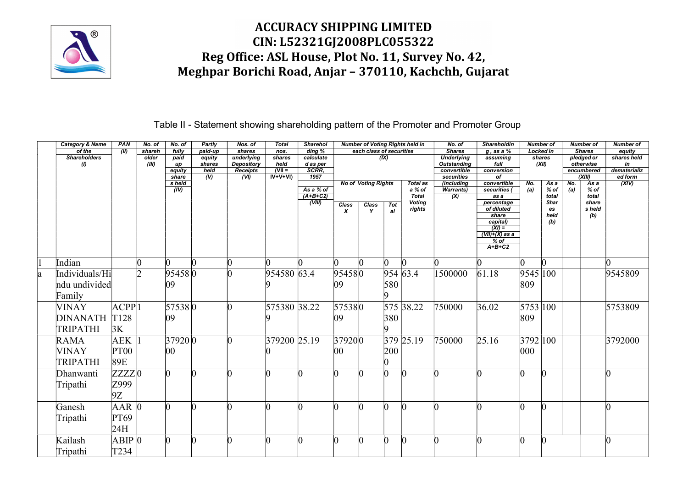

Table II - Statement showing shareholding pattern of the Promoter and Promoter Group

| <b>Category &amp; Name</b> | PAN               | No. of | No. of               | Partly           | Nos. of                         | Total          | <b>Sharehol</b>       |                  |                            |              | <b>Number of Voting Rights held in</b> | No. of                                  | <b>Shareholdin</b>          |               | <b>Number of</b> |     | <b>Number of</b>         | <b>Number of</b>  |
|----------------------------|-------------------|--------|----------------------|------------------|---------------------------------|----------------|-----------------------|------------------|----------------------------|--------------|----------------------------------------|-----------------------------------------|-----------------------------|---------------|------------------|-----|--------------------------|-------------------|
| of the                     | (III)             | shareh | fully                | paid-up          | shares                          | nos.           | ding %                |                  | each class of securities   |              |                                        | <b>Shares</b>                           | q, as a %                   |               | Locked in        |     | <b>Shares</b>            | equity            |
| <b>Shareholders</b>        |                   | older  | paid                 | equity<br>shares | underlying<br><b>Depository</b> | shares<br>held | calculate<br>d as per |                  |                            | (IX)         |                                        | <b>Underlying</b><br><b>Outstanding</b> | assuming<br>$f$ ull         |               | shares<br>(XII)  |     | pledged or<br>otherwise  | shares held<br>in |
| $\omega$                   |                   | (III)  | up<br>equity         | held             | Receipts                        | $(VII =$       | SCRR.                 |                  |                            |              |                                        | convertible                             | conversion                  |               |                  |     | encumbered               | dematerializ      |
|                            |                   |        | share                | (V)              | (VI)                            | $IV+V+VI$      | 1957                  |                  |                            |              |                                        | securities                              | of                          |               |                  |     | (XIII)                   | ed form           |
|                            |                   |        | s held<br>(IV)       |                  |                                 |                | As a % of             |                  | <b>No of Voting Rights</b> |              | <b>Total as</b><br>a % of              | (including<br><b>Warrants</b> )         | convertible<br>securities ( | No.           | As a<br>$%$ of   | No. | $\overline{Asa}$<br>% of | (XIV)             |
|                            |                   |        |                      |                  |                                 |                | $(A+B+C2)$            |                  |                            |              | <b>Total</b>                           | (X)                                     | as a                        | (a)           | total            | (a) | total                    |                   |
|                            |                   |        |                      |                  |                                 |                | (VIII)                | Class            | Class                      | Tot          | <b>Voting</b>                          |                                         | percentage                  |               | Shar             |     | share                    |                   |
|                            |                   |        |                      |                  |                                 |                |                       | $\boldsymbol{x}$ |                            | al           | rights                                 |                                         | of diluted<br>share         |               | es<br>held       |     | s held<br>(b)            |                   |
|                            |                   |        |                      |                  |                                 |                |                       |                  |                            |              |                                        |                                         | capital)                    |               | (b)              |     |                          |                   |
|                            |                   |        |                      |                  |                                 |                |                       |                  |                            |              |                                        |                                         | $(XI) =$                    |               |                  |     |                          |                   |
|                            |                   |        |                      |                  |                                 |                |                       |                  |                            |              |                                        |                                         | $(VII)+(X)$ as a<br>$%$ of  |               |                  |     |                          |                   |
|                            |                   |        |                      |                  |                                 |                |                       |                  |                            |              |                                        |                                         | $A+B+C2$                    |               |                  |     |                          |                   |
|                            |                   |        |                      |                  |                                 |                |                       |                  |                            |              |                                        |                                         |                             |               |                  |     |                          |                   |
| Indian                     |                   |        |                      |                  |                                 |                |                       |                  |                            | $\mathsf{D}$ |                                        |                                         |                             |               | $\Omega$         |     |                          |                   |
| Individuals/Hi             |                   | D.     | $95458$ <sub>0</sub> |                  |                                 | 954580 63.4    |                       | 954580           |                            |              | 954 63.4                               | 1500000                                 | 61.18                       | 9545 100      |                  |     |                          | 9545809           |
| ndu undivided              |                   |        | 09                   |                  |                                 |                |                       | 09               |                            | 580          |                                        |                                         |                             | 809           |                  |     |                          |                   |
| Family                     |                   |        |                      |                  |                                 |                |                       |                  |                            |              |                                        |                                         |                             |               |                  |     |                          |                   |
| <b>VINAY</b>               | ACPP              |        | 575380               |                  |                                 | 575380 38.22   |                       | 575380           |                            |              | 575 38.22                              | 750000                                  | 36.02                       | 5753 100      |                  |     |                          | 5753809           |
|                            |                   |        |                      |                  |                                 |                |                       |                  |                            |              |                                        |                                         |                             |               |                  |     |                          |                   |
| DINANATH T128              |                   |        | $ 09\rangle$         |                  |                                 |                |                       | 09               |                            | 380          |                                        |                                         |                             | 809           |                  |     |                          |                   |
| TRIPATHI                   | 3K                |        |                      |                  |                                 |                |                       |                  |                            |              |                                        |                                         |                             |               |                  |     |                          |                   |
| <b>RAMA</b>                | AEK               |        | 37920 0              |                  |                                 | 379200 25.19   |                       | 379200           |                            |              | $379$ 25.19                            | 750000                                  | 25.16                       | 3792 100      |                  |     |                          | 3792000           |
| <b>VINAY</b>               | <b>PT00</b>       |        | $ 00\rangle$         |                  |                                 |                |                       | 00               |                            | 200          |                                        |                                         |                             | $ 000\rangle$ |                  |     |                          |                   |
| <b>TRIPATHI</b>            | 89E               |        |                      |                  |                                 |                |                       |                  |                            |              |                                        |                                         |                             |               |                  |     |                          |                   |
|                            |                   |        |                      |                  |                                 |                |                       |                  |                            |              |                                        |                                         |                             |               |                  |     |                          |                   |
| Dhanwanti                  | ZZZZ0             |        |                      |                  |                                 |                |                       |                  |                            |              |                                        |                                         |                             |               | l0               |     |                          |                   |
| Tripathi                   | Z999              |        |                      |                  |                                 |                |                       |                  |                            |              |                                        |                                         |                             |               |                  |     |                          |                   |
|                            | 9Z                |        |                      |                  |                                 |                |                       |                  |                            |              |                                        |                                         |                             |               |                  |     |                          |                   |
| Ganesh                     | $AAR$ 0           |        |                      |                  |                                 |                |                       |                  |                            | $\sqrt{ }$   |                                        |                                         |                             |               | n                |     |                          |                   |
|                            |                   |        |                      |                  |                                 |                |                       |                  |                            |              |                                        |                                         |                             |               |                  |     |                          |                   |
| Tripathi                   | PT69              |        |                      |                  |                                 |                |                       |                  |                            |              |                                        |                                         |                             |               |                  |     |                          |                   |
|                            | 24H               |        |                      |                  |                                 |                |                       |                  |                            |              |                                        |                                         |                             |               |                  |     |                          |                   |
| Kailash                    | ABIP <sub>0</sub> |        |                      |                  |                                 |                |                       |                  |                            | 'n           |                                        |                                         |                             |               |                  |     |                          |                   |
| Tripathi                   | T234              |        |                      |                  |                                 |                |                       |                  |                            |              |                                        |                                         |                             |               |                  |     |                          |                   |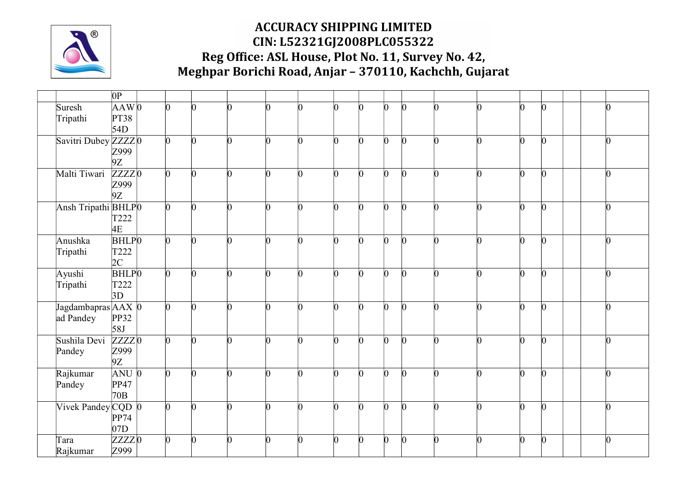

|                                    | 0P                                                 |                 |                 |          |               |    |          |              |                 |              |                |          |    |          |                 |
|------------------------------------|----------------------------------------------------|-----------------|-----------------|----------|---------------|----|----------|--------------|-----------------|--------------|----------------|----------|----|----------|-----------------|
| Suresh<br>Tripathi                 | $AAW$ <sub>0</sub><br><b>PT38</b><br>54D           | l0              | n               | n        | n             | n  |          | n            | $\Omega$        | n            | n              |          |    |          | n               |
| Savitri Dubey ZZZZ0                | Z999<br>9Z                                         | $\vert 0 \vert$ | 0               | O.       | $\Omega$      | n  | ∩        |              | $\vert 0 \vert$ | n            | <sup>0</sup>   | $\Omega$ | n  | n        | $\bf{0}$        |
| Malti Tiwari                       | $ZZZZ$ <sub>0</sub><br>Z999<br>9Z                  | $\Omega$        | n               | n        | $\Omega$      | n  | ∩        | n            | $\Omega$        | n            | n              | n        |    |          | $\Omega$        |
| Ansh Tripathi BHLPO                | T222<br>4E                                         | $\vert 0 \vert$ | n               | O.       | O.            | n  | ∩        |              | $\overline{0}$  | n            | n              |          | n  | n        | $\vert 0 \vert$ |
| Anushka<br>Tripathi                | <b>BHLP</b> <sup>0</sup><br>T222<br>2C             | $\Omega$        | $\vert 0 \vert$ | $\Omega$ | IO.           | n  | n        | <sub>n</sub> | $\overline{0}$  | n            | n              | n        | n  | n        | $\Omega$        |
| Ayushi<br>Tripathi                 | <b>BHLP</b> <sup>0</sup><br>T <sub>222</sub><br>3D | $\vert 0 \vert$ | $\vert 0 \vert$ | 0        | h             | O. | $\Omega$ |              | O               | h            | $\overline{0}$ | n        |    |          | $\vert$ 0       |
| Jagdambapras AAX 0<br>ad Pandey    | PP32<br>58J                                        | $\overline{0}$  | $\Omega$        | <b>n</b> | <sub>IO</sub> | n  | n        | n            | $\Omega$        | n            | h              | n        | n  | n        | $\vert$ 0       |
| Sushila Devi<br>Pandey             | ZZZZ0<br>Z999<br>9Z                                | $\Omega$        | h               | h        | $\Omega$      | h  | $\Omega$ | n            | $\Omega$        | h            | n              | $\Omega$ | ln | n        | $\Omega$        |
| Rajkumar<br>Pandey                 | $ANU$ $0$<br>PP47<br>70B                           | $\Omega$        | $\vert 0 \vert$ | <b>n</b> | $\Omega$      | O. | n        | <sub>0</sub> | $\overline{0}$  | <sup>0</sup> | $\Omega$       | n        | n  | $\Omega$ | $\vert$ 0       |
| Vivek Pandey $CQD$ $\vert 0 \vert$ | PP74<br>07D                                        | $\overline{0}$  | n               | n        | n             | n  | ∩        |              | $\Omega$        | n            | n              | n        |    | n        | $\Omega$        |
| Tara<br>Rajkumar                   | ZZZZO<br>Z999                                      | $\overline{0}$  | 0               | ∩        | ∩             | 0  |          | U            | 0               |              |                |          |    |          |                 |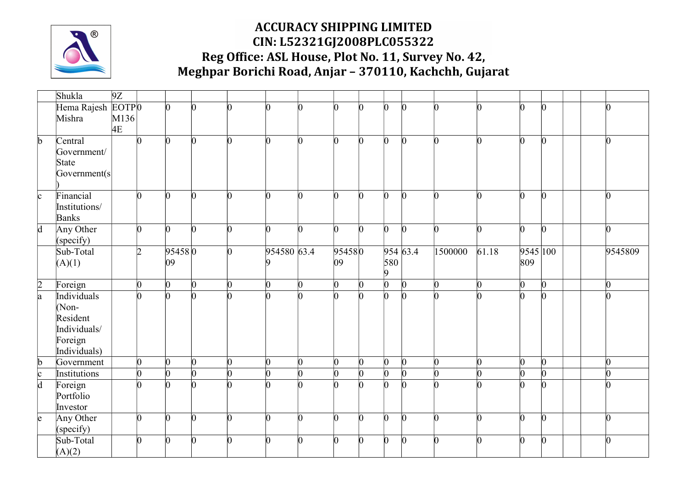

|                 | Shukla            | 9Z   |                |                 |                 |    |             |          |        |                 |                |                 |          |       |                 |                 |                 |
|-----------------|-------------------|------|----------------|-----------------|-----------------|----|-------------|----------|--------|-----------------|----------------|-----------------|----------|-------|-----------------|-----------------|-----------------|
|                 | Hema Rajesh EOTPO |      |                | $\vert 0 \vert$ | ∩               |    |             | n        |        | $\Omega$        | b.             | 0               |          |       | n               | $\vert 0 \vert$ |                 |
|                 | Mishra            | M136 |                |                 |                 |    |             |          |        |                 |                |                 |          |       |                 |                 |                 |
|                 |                   | 4E   |                |                 |                 |    |             |          |        |                 |                |                 |          |       |                 |                 |                 |
| $\mathbf b$     | Central           |      | n              | $\vert 0 \vert$ | $\Omega$        | O. | IO.         | $\Omega$ | n      | $\vert 0 \vert$ | $\mathbf{0}$   | $\overline{0}$  | n        | 0     | $\vert 0 \vert$ | $\vert 0 \vert$ | IO.             |
|                 | Government/       |      |                |                 |                 |    |             |          |        |                 |                |                 |          |       |                 |                 |                 |
|                 | State             |      |                |                 |                 |    |             |          |        |                 |                |                 |          |       |                 |                 |                 |
|                 | Goverment(s)      |      |                |                 |                 |    |             |          |        |                 |                |                 |          |       |                 |                 |                 |
| c               | Financial         |      | $\Omega$       | $\vert$ 0       | n.              | n  | n.          | <b>n</b> | n.     | $\vert 0 \vert$ | $\overline{0}$ | $\vert 0 \vert$ | n        |       | $\Omega$        | $\vert 0 \vert$ | l0              |
|                 | Institutions/     |      |                |                 |                 |    |             |          |        |                 |                |                 |          |       |                 |                 |                 |
|                 | Banks             |      |                |                 |                 |    |             |          |        |                 |                |                 |          |       |                 |                 |                 |
| $\overline{d}$  | Any Other         |      | l0             | $\Omega$        | n               | n  | n           | n.       | n.     | $\vert$ 0       | b.             | $\Omega$        | n        |       | $\Omega$        | $\vert$ 0       | n               |
|                 | (specify)         |      |                |                 |                 |    |             |          |        |                 |                |                 |          |       |                 |                 |                 |
|                 | Sub-Total         |      | $\overline{2}$ | 954580          |                 | n  | 954580 63.4 |          | 954580 |                 |                | 954 63.4        | 1500000  | 61.18 | 9545 100        |                 | 9545809         |
|                 | (A)(1)            |      |                | $ 09\rangle$    |                 |    |             |          | 09     |                 | 580            |                 |          |       | 809             |                 |                 |
|                 |                   |      |                |                 |                 |    |             |          |        |                 | 9              |                 |          |       |                 |                 |                 |
| $\frac{2}{a}$   | Foreign           |      | O.             | $ 0\rangle$     | $\vert 0 \vert$ | O. | $\Omega$    | O.       | n      | $\vert 0 \vert$ | $\overline{0}$ | $\overline{0}$  | $\Omega$ | ∩     | $ 0\rangle$     | $\overline{0}$  | $\vert 0 \vert$ |
|                 | Individuals       |      | n              | $\vert$ 0       | n.              | ∩  |             | n        | n      | $\Omega$        | $\overline{0}$ | $\overline{0}$  | n        |       | $\overline{0}$  | $\vert 0 \vert$ |                 |
|                 | $(Non-$           |      |                |                 |                 |    |             |          |        |                 |                |                 |          |       |                 |                 |                 |
|                 | Resident          |      |                |                 |                 |    |             |          |        |                 |                |                 |          |       |                 |                 |                 |
|                 | Individuals/      |      |                |                 |                 |    |             |          |        |                 |                |                 |          |       |                 |                 |                 |
|                 | Foreign           |      |                |                 |                 |    |             |          |        |                 |                |                 |          |       |                 |                 |                 |
|                 | Individuals)      |      |                |                 |                 |    |             |          |        |                 |                |                 |          |       |                 |                 |                 |
| b               | Government        |      | $\overline{0}$ | $ 0\rangle$     | $\vert 0 \vert$ | 0  | l0          | $\Omega$ | n      | $\vert 0 \vert$ | $\mathbf{0}$   | $\overline{0}$  | $\Omega$ |       | $\overline{0}$  | $\vert 0 \vert$ | $\vert 0 \vert$ |
| c               | Institutions      |      | $\overline{0}$ | $ 0\rangle$     | lO.             | n. | n.          | n        |        | $\vert 0 \vert$ | $\overline{0}$ | $\overline{0}$  | n        |       | $\vert 0 \vert$ | $\Omega$        | n               |
| $\overline{d}$  | Foreign           |      | n              | $\vert$ 0       | ∩               |    |             |          |        | $\Omega$        | b.             | $\overline{0}$  | n        |       | n               | $\overline{0}$  |                 |
|                 | Portfolio         |      |                |                 |                 |    |             |          |        |                 |                |                 |          |       |                 |                 |                 |
|                 | Investor          |      |                |                 |                 |    |             |          |        |                 |                |                 |          |       |                 |                 |                 |
| $\vert e \vert$ | Any Other         |      | n              | $\vert 0 \vert$ | n.              | n  | n           | n        | n      | $\Omega$        | b.             | $\overline{0}$  | n        | ∩     | $\Omega$        | $\vert 0 \vert$ | n               |
|                 | (specify)         |      |                |                 |                 |    |             |          |        |                 |                |                 |          |       |                 |                 |                 |
|                 | Sub-Total         |      | ∩              | $\Omega$        | ∩               | ∩  | ∩           |          |        |                 | 0              | <sup>0</sup>    |          |       | $\Omega$        | $\bf{0}$        |                 |
|                 | (A)(2)            |      |                |                 |                 |    |             |          |        |                 |                |                 |          |       |                 |                 |                 |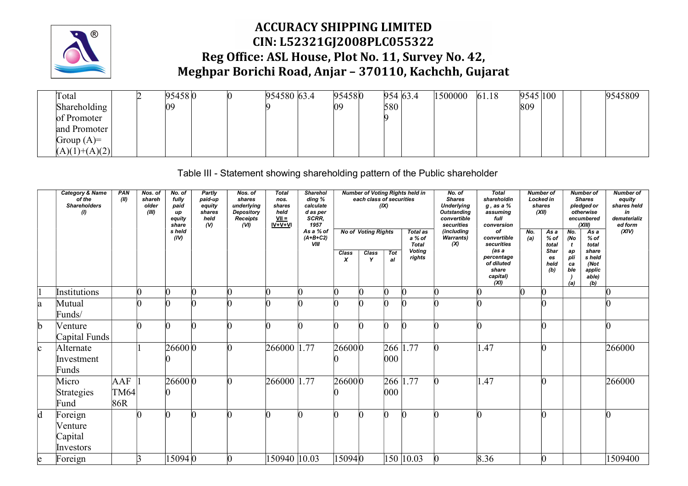

| Total           |  | 95458 0 | 954580 63.4 | 954580 |     | 954 63.4 | 1500000 | 61.18 | 9545 100 |  | 9545809 |
|-----------------|--|---------|-------------|--------|-----|----------|---------|-------|----------|--|---------|
| Shareholding    |  | 09      |             | 09     | 580 |          |         |       | 809      |  |         |
| of Promoter     |  |         |             |        |     |          |         |       |          |  |         |
| and Promoter    |  |         |             |        |     |          |         |       |          |  |         |
| Group $(A)=$    |  |         |             |        |     |          |         |       |          |  |         |
| $(A)(1)+(A)(2)$ |  |         |             |        |     |          |         |       |          |  |         |

Table III - Statement showing shareholding pattern of the Public shareholder

|              | Category & Name<br>of the<br><b>Shareholders</b><br>$\theta$ | PAN<br>(II)                        | Nos. of<br>shareh<br>older<br>(III) | No. of<br>fully<br>paid<br>up<br>equity<br>share<br>s held<br>(IV) | <b>Partly</b><br>paid-up<br>equity<br>shares<br>held<br>(V) | Nos. of<br>shares<br>underlying<br>Depository<br>Receipts<br>(VI) | <b>Total</b><br>nos.<br>shares<br>held<br>$\frac{VII}{IV+V+VI}$ | Sharehol<br>ding %<br>calculate<br>d as per<br>SCRR,<br>1957<br>As a % of<br>$(A+B+C2)$<br>VIII | Class<br>$\boldsymbol{x}$ | each class of securities<br><b>No of Voting Rights</b><br>Class<br>Y | (IX)<br>Tot<br>al      | Number of Voting Rights held in<br>Total as<br>a % of<br>Total<br><b>Voting</b><br>rights | No. of<br><b>Shares</b><br><b>Underlying</b><br>Outstanding<br>convertible<br>securities<br>(including<br><b>Warrants)</b><br>(X) | Total<br>shareholdin<br>g, as a %<br>assuming<br>full<br>conversion<br>of<br>convertible<br>securities<br>(as a<br>percentage<br>of diluted<br>share<br>capital)<br>(XI) | No.<br>(a) | <b>Number of</b><br>Locked in<br>shares<br>(XII)<br>As a<br>% of<br>total<br>Shar<br>es<br>held<br>(b) | No.<br>(No<br>t<br>ap<br>pli<br>ca<br>ble<br>(a) | <b>Number of</b><br><b>Shares</b><br>pledged or<br>otherwise<br>encumbered<br>(XIII)<br>$\overline{Asa}$<br>% of<br>total<br>share<br>s held<br>(Not<br>applic<br>able)<br>(b) | <b>Number of</b><br>equity<br>shares held<br>in<br>dematerializ<br>ed form<br>(XIV) |
|--------------|--------------------------------------------------------------|------------------------------------|-------------------------------------|--------------------------------------------------------------------|-------------------------------------------------------------|-------------------------------------------------------------------|-----------------------------------------------------------------|-------------------------------------------------------------------------------------------------|---------------------------|----------------------------------------------------------------------|------------------------|-------------------------------------------------------------------------------------------|-----------------------------------------------------------------------------------------------------------------------------------|--------------------------------------------------------------------------------------------------------------------------------------------------------------------------|------------|--------------------------------------------------------------------------------------------------------|--------------------------------------------------|--------------------------------------------------------------------------------------------------------------------------------------------------------------------------------|-------------------------------------------------------------------------------------|
|              | Institutions                                                 |                                    | $\overline{0}$                      |                                                                    | $\sqrt{ }$                                                  |                                                                   |                                                                 |                                                                                                 |                           |                                                                      |                        | $\bf{0}$                                                                                  | n                                                                                                                                 | n                                                                                                                                                                        |            | $\vert 0 \vert$                                                                                        |                                                  |                                                                                                                                                                                |                                                                                     |
| a            | Mutual<br>Funds/                                             |                                    | n                                   |                                                                    |                                                             |                                                                   |                                                                 |                                                                                                 |                           |                                                                      |                        | n                                                                                         |                                                                                                                                   |                                                                                                                                                                          |            | n                                                                                                      |                                                  |                                                                                                                                                                                |                                                                                     |
| $\mathbb{D}$ | Venture<br>Capital Funds                                     |                                    | $\vert 0 \vert$                     | $\Omega$                                                           | $\Omega$                                                    |                                                                   |                                                                 | n                                                                                               | n                         | $\Omega$                                                             | n                      | $\vert 0 \vert$                                                                           | n                                                                                                                                 | n                                                                                                                                                                        |            | $\vert 0 \vert$                                                                                        |                                                  |                                                                                                                                                                                |                                                                                     |
| lc.          | Alternate<br>Investment<br>Funds                             |                                    |                                     | 26600 0                                                            |                                                             |                                                                   | 266000                                                          | 1.77                                                                                            | 266000                    |                                                                      | 266 1<br>$ 000\rangle$ | .77                                                                                       | $\Omega$                                                                                                                          | 1.47                                                                                                                                                                     |            | $\vert 0 \vert$                                                                                        |                                                  |                                                                                                                                                                                | 266000                                                                              |
|              | Micro<br>Strategies<br>Fund                                  | AAF<br>$\vert$ TM64 $\vert$<br>86R |                                     | 26600 0                                                            |                                                             |                                                                   | 266000                                                          | 1.77                                                                                            | 266000                    |                                                                      | 266 1<br>$ 000\rangle$ | .77                                                                                       | $\Omega$                                                                                                                          | 1.47                                                                                                                                                                     |            | $\vert 0 \vert$                                                                                        |                                                  |                                                                                                                                                                                | 266000                                                                              |
|              | Foreign<br>Venture<br>Capital<br>Investors                   |                                    | n                                   | $\Omega$                                                           | IO                                                          |                                                                   |                                                                 |                                                                                                 | n                         | $\Omega$                                                             | n.                     | $\Omega$                                                                                  | n                                                                                                                                 |                                                                                                                                                                          |            | $\Omega$                                                                                               |                                                  |                                                                                                                                                                                |                                                                                     |
| e            | Foreign                                                      |                                    | 3                                   | 150940                                                             |                                                             |                                                                   | 150940 10.03                                                    |                                                                                                 | 150940                    |                                                                      |                        | 150 10.03                                                                                 |                                                                                                                                   | 8.36                                                                                                                                                                     |            | $\overline{0}$                                                                                         |                                                  |                                                                                                                                                                                | 1509400                                                                             |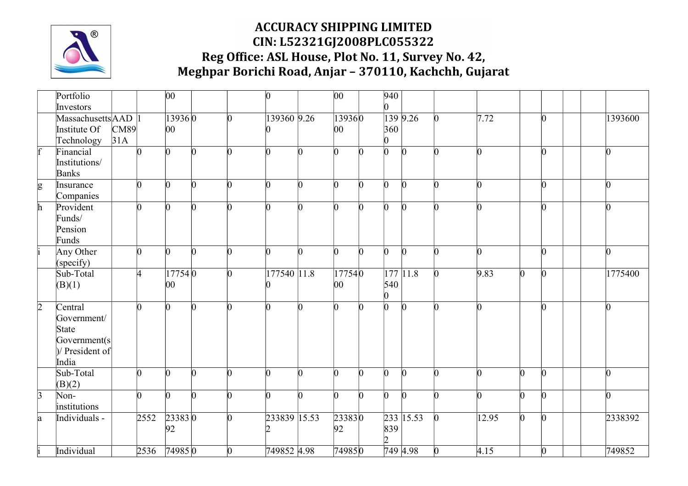

|                | Portfolio                                                                     |             |          | $ 00\rangle$            |                 |                | $\vert 0 \vert$ |    | $ 00\rangle$ |              | 940                   |                 |                 |       |                |                 |   |         |
|----------------|-------------------------------------------------------------------------------|-------------|----------|-------------------------|-----------------|----------------|-----------------|----|--------------|--------------|-----------------------|-----------------|-----------------|-------|----------------|-----------------|---|---------|
|                | Investors                                                                     |             |          |                         |                 |                |                 |    |              |              | n.                    |                 |                 |       |                |                 |   |         |
|                | Massachusetts AAD 1<br>Institute Of<br>Technology                             | CM89<br>31A |          | 139360<br>$ 00\rangle$  |                 | $\overline{0}$ | 139360 9.26     |    | 139360<br>00 |              | 360<br>$\overline{0}$ | 139 9.26        | $\Omega$        | 7.72  |                | $\overline{0}$  |   | 1393600 |
| $\mathbf{f}$   | Financial<br>Institutions/<br>Banks                                           |             | $\Omega$ | lo.                     | $\vert 0 \vert$ | $\overline{0}$ | $\overline{0}$  | n  | n.           | <sub>n</sub> | $\overline{0}$        | $\overline{0}$  | $\Omega$        | n.    |                | $\overline{0}$  | n |         |
| g              | Insurance<br>Companies                                                        |             | O.       | l0.                     | $\overline{0}$  | $\overline{0}$ | IO.             | ∩  | n.           | $\Omega$     | b.                    | $\overline{0}$  | $\Omega$        |       |                | $\overline{0}$  | n |         |
| $\mathbf{h}$   | Provident<br>Funds/<br>Pension<br>Funds                                       |             | $\Omega$ | $\Omega$                | $\Omega$        | $\Omega$       | l0              | n. | n.           | $\Omega$     | $\Omega$              | $\vert 0 \vert$ | l0.             | n.    |                | $\Omega$        | n |         |
|                | Any Other<br>(specify)                                                        |             | n.       | l0.                     | $\overline{0}$  | $\Omega$       | IO.             | n  | $\Omega$     | $\Omega$     | $\overline{0}$        | $\Omega$        | <b>n</b>        |       |                | $\overline{0}$  | n |         |
|                | Sub-Total<br>(B)(1)                                                           |             | 4        | 17754 0<br>$ 00\rangle$ |                 | $\overline{0}$ | 177540 11.8     |    | 177540<br>00 |              | 540<br>O.             | 177 11.8        | $\vert 0 \vert$ | 9.83  | $\overline{0}$ | $\vert$ 0       |   | 1775400 |
| $\overline{2}$ | Central<br>Government/<br>State<br>Government(s)<br>$ $ President of<br>India |             | n        | $\Omega$                | $\Omega$        | n.             | l0              | n. | n.           | $\Omega$     | h.                    | $\vert 0 \vert$ | n               | n.    |                | $\Omega$        | n |         |
|                | Sub-Total<br>(B)(2)                                                           |             | n.       | l0.                     | l0              | n.             | n               | ∩  | 0            | $\Omega$     | $\overline{0}$        | $\Omega$        | <b>n</b>        | n     | $\Omega$       | $\vert$ 0       | n |         |
| $\overline{3}$ | Non-<br>institutions                                                          |             | n.       | l0                      | $\overline{0}$  | n              |                 | ∩  | O.           | $\Omega$     | $\overline{0}$        | $\overline{0}$  | <b>n</b>        | n     | $\sqrt{0}$     | $\vert$ 0       | n |         |
| $\mathbf{a}$   | Individuals -                                                                 |             | 2552     | 233830<br>92            |                 | $\overline{0}$ | 233839 15.53    |    | 233830<br>92 |              | 839<br>$\overline{2}$ | 233 15.53       | $\vert 0 \vert$ | 12.95 | $\sqrt{0}$     | $\vert 0 \vert$ |   | 2338392 |
|                | Individual                                                                    |             | 2536     | 749850                  |                 | $\overline{0}$ | 749852 4.98     |    | 749850       |              |                       | 749 4.98        | $\mathbf{0}$    | 4.15  |                | $\bf{0}$        |   | 749852  |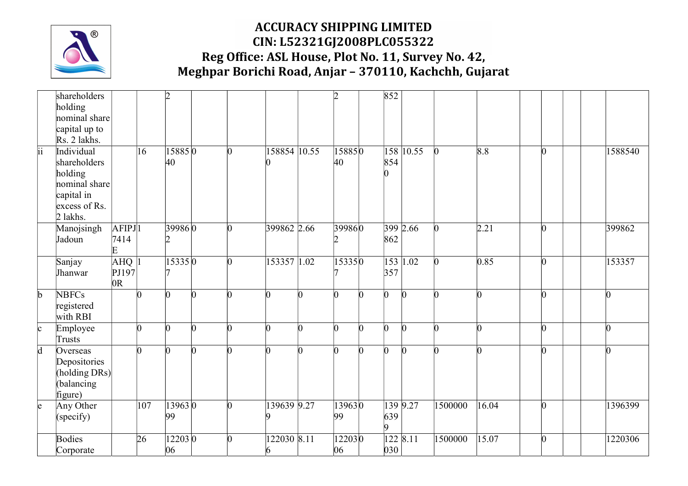

|                 | shareholders             |                      |              | $\overline{2}$ |   |   |              |   | $\overline{2}$ |          | 852            |                |                 |       |                 |   |         |
|-----------------|--------------------------|----------------------|--------------|----------------|---|---|--------------|---|----------------|----------|----------------|----------------|-----------------|-------|-----------------|---|---------|
|                 | holding                  |                      |              |                |   |   |              |   |                |          |                |                |                 |       |                 |   |         |
|                 | nominal share            |                      |              |                |   |   |              |   |                |          |                |                |                 |       |                 |   |         |
|                 | capital up to            |                      |              |                |   |   |              |   |                |          |                |                |                 |       |                 |   |         |
|                 | Rs. 2 lakhs.             |                      |              |                |   |   |              |   |                |          |                |                |                 |       |                 |   |         |
| $\overline{ii}$ | Individual               |                      | $ 16\rangle$ | 158850         |   | n | 158854 10.55 |   | 158850         |          |                | $158$ 10.55    | $\vert 0 \vert$ | 8.8   | $\vert$ 0       |   | 1588540 |
|                 | shareholders             |                      |              | 40             |   |   |              |   | 40             |          | 854<br>n       |                |                 |       |                 |   |         |
|                 | holding<br>nominal share |                      |              |                |   |   |              |   |                |          |                |                |                 |       |                 |   |         |
|                 | capital in               |                      |              |                |   |   |              |   |                |          |                |                |                 |       |                 |   |         |
|                 | excess of Rs.            |                      |              |                |   |   |              |   |                |          |                |                |                 |       |                 |   |         |
|                 | 2 lakhs.                 |                      |              |                |   |   |              |   |                |          |                |                |                 |       |                 |   |         |
|                 | Manojsingh               | $AFIPJ$ <sup>1</sup> |              | 399860         |   | n | 399862 2.66  |   | 399860         |          |                | 399 2.66       | $\bf{0}$        | 2.21  | $\vert$ 0       |   | 399862  |
|                 | Jadoun                   | 7414                 |              | 12             |   |   |              |   |                |          | 862            |                |                 |       |                 |   |         |
|                 |                          | E                    |              |                |   |   |              |   |                |          |                |                |                 |       |                 |   |         |
|                 | Sanjay                   | $AHQ$ <sup>1</sup>   |              | 153350         |   | n | 153357 1.02  |   | 153350         |          |                | 153 1.02       | $\bf{0}$        | 0.85  | $\vert$ 0       |   | 153357  |
|                 | Jhanwar                  | PJ197                |              |                |   |   |              |   |                |          | 357            |                |                 |       |                 |   |         |
|                 |                          | 0R                   |              |                |   |   |              |   |                |          |                |                |                 |       |                 |   |         |
| $\mathbf b$     | <b>NBFCs</b>             |                      |              | $\Omega$       | n | n |              | n | n.             | $\Omega$ | $\overline{0}$ | $\Omega$       |                 | n     | $\vert$ 0       |   |         |
|                 | registered               |                      |              |                |   |   |              |   |                |          |                |                |                 |       |                 |   |         |
|                 | with RBI                 |                      |              |                |   |   |              |   |                |          |                |                |                 |       |                 |   |         |
| $\mathbf{c}$    | Employee                 |                      |              | $\Omega$       | n | n | n            | n | n              | O.       | l0             | $\overline{0}$ | n               | n     | $\vert 0 \vert$ | n |         |
|                 | Trusts                   |                      |              |                |   |   |              |   |                |          |                |                |                 |       |                 |   |         |
| $\overline{d}$  | Overseas                 |                      |              | $\Omega$       | n | n |              | n | n.             | n.       | n.             | n.             | n               | n     | $\vert$ 0       |   |         |
|                 | Depositories             |                      |              |                |   |   |              |   |                |          |                |                |                 |       |                 |   |         |
|                 | (holding DRs)            |                      |              |                |   |   |              |   |                |          |                |                |                 |       |                 |   |         |
|                 | balancing                |                      |              |                |   |   |              |   |                |          |                |                |                 |       |                 |   |         |
|                 | figure)                  |                      |              |                |   |   |              |   |                |          |                |                |                 |       |                 |   |         |
| $\vert e \vert$ | Any Other                |                      | 107          | 13963 0        |   | n | 139639 9.27  |   | 139630         |          |                | 139 9.27       | 1500000         | 16.04 | $\vert 0 \vert$ |   | 1396399 |
|                 | (specify)                |                      |              | 99             |   |   |              |   | 99             |          | 639<br>9       |                |                 |       |                 |   |         |
|                 | <b>Bodies</b>            |                      | 26           | 122030         |   |   | 122030 8.11  |   | 122030         |          |                | 122 8.11       | 1500000         | 15.07 | $\Omega$        |   | 1220306 |
|                 | Corporate                |                      |              | 06             |   |   | 6            |   | 06             |          | 030            |                |                 |       |                 |   |         |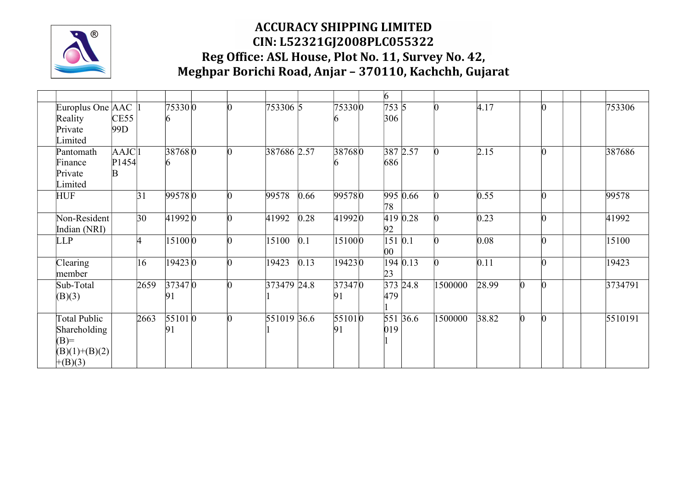

|                                                                        |                       |              |                |  |               |      |              | 6                         |            |         |       |   |                 |         |
|------------------------------------------------------------------------|-----------------------|--------------|----------------|--|---------------|------|--------------|---------------------------|------------|---------|-------|---|-----------------|---------|
| Europlus One AAC<br>Reality<br>Private<br>Limited                      | CE55<br>99D           |              | 75330 0        |  | 753306 5      |      | 753300       | 7535<br>306               |            |         | 4.17  |   | N               | 753306  |
| Pantomath<br>Finance<br>Private<br>Limited                             | AAJCl1<br>P1454<br>B. |              | 387680         |  | 387686 2.57   |      | 387680       | 686                       | 387 2.57   |         | 2.15  |   | $\Omega$        | 387686  |
| <b>HUF</b>                                                             |                       | 31           | 995780         |  | 99578         | 0.66 | 995780       | 78                        | 995 0.66   |         | 0.55  |   | $\vert 0 \vert$ | 99578   |
| Non-Resident<br>Indian (NRI)                                           |                       | $ 30\rangle$ | 41992 0        |  | 41992         | 0.28 | 419920       | 92                        | 419 0.28   |         | 0.23  |   | $\vert 0 \vert$ | 41992   |
| <b>LLP</b>                                                             |                       |              | 15100 0        |  | 15100         | 0.1  | 151000       | $151$ 0.1<br>$ 00\rangle$ |            |         | 0.08  |   | $\Omega$        | 15100   |
| Clearing<br>member                                                     |                       | $ 16\rangle$ | 19423 0        |  | 19423         | 0.13 | 194230       | 23                        | 194 0.13   |         | 0.11  |   | $\vert 0 \vert$ | 19423   |
| Sub-Total<br>(B)(3)                                                    |                       | 2659         | 37347 0<br> 91 |  | 373479 24.8   |      | 373470<br>91 | 479                       | $373$ 24.8 | 1500000 | 28.99 | n | $\Omega$        | 3734791 |
| Total Public<br>Shareholding<br>$(B)=$<br>$(B)(1)+(B)(2)$<br>$+(B)(3)$ |                       | 2663         | 551010<br>91   |  | $551019$ 36.6 |      | 551010<br>91 | 019                       | 551 36.6   | 1500000 | 38.82 |   |                 | 5510191 |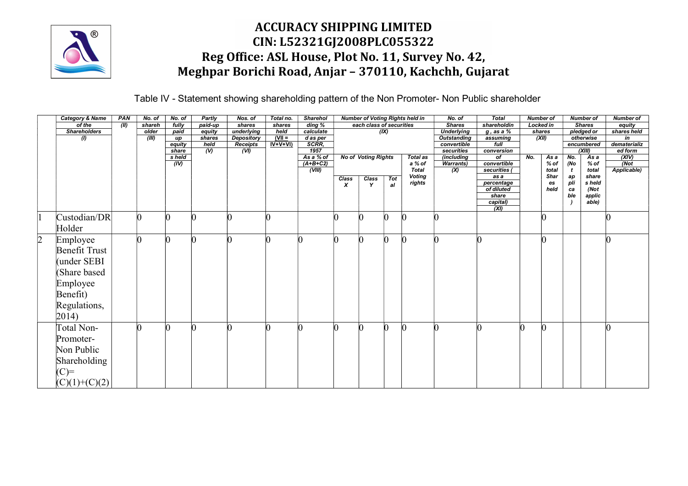

Table IV - Statement showing shareholding pattern of the Non Promoter- Non Public shareholder

| <b>Category &amp; Name</b> | PAN   | No. of | No. of                  | Partly                    | Nos. of                         | Total no.        | Sharehol             |                           |                            |          | <b>Number of Voting Rights held in</b> | No. of                                        | Total                       |     | <b>Number of</b> |                     | <b>Number of</b>        | <b>Number of</b>                |  |
|----------------------------|-------|--------|-------------------------|---------------------------|---------------------------------|------------------|----------------------|---------------------------|----------------------------|----------|----------------------------------------|-----------------------------------------------|-----------------------------|-----|------------------|---------------------|-------------------------|---------------------------------|--|
| of the                     | (III) | shareh | fully                   | paid-up                   | shares                          | shares           | ding %               |                           | each class of securities   |          |                                        | <b>Shares</b>                                 | shareholdin                 |     | Locked in        |                     | <b>Shares</b>           | equity                          |  |
| <b>Shareholders</b>        |       | older  | paid<br>$\overline{up}$ | equity<br>shares          | underlying<br><b>Depository</b> | held<br>$(VII =$ | calculate            |                           |                            | (IX)     |                                        | <b>Underlying</b><br><b>Outstanding</b>       | $g$ , as a $%$<br>assuming  |     | shares<br>(XII)  |                     | pledged or<br>otherwise | shares held<br>$\overline{in}$  |  |
|                            |       | (III)  | equity                  | held                      | Receipts                        | $IV+V+VI$        | d as per<br>SCRR,    |                           |                            |          |                                        | convertible                                   | $f$ ull                     |     |                  |                     | encumbered              | dematerializ                    |  |
|                            |       |        | share                   | $\overline{(\mathsf{W})}$ | (VI)                            |                  | 1957                 |                           |                            |          |                                        | securities                                    | conversion                  |     |                  |                     | (XIII)                  | ed form                         |  |
|                            |       |        | s held                  |                           |                                 |                  | As a % of            |                           | <b>No of Voting Rights</b> |          | <b>Total as</b>                        | <i>(including</i>                             | $\overline{of}$             | No. | As a<br>% of     | No.                 | As a                    | (XIV)                           |  |
|                            |       |        | (IV)                    |                           |                                 |                  | $(A+B+C2)$<br>(VIII) |                           |                            |          | a % of<br><b>Total</b>                 | <b>Warrants)</b><br>$\overline{(\mathsf{X})}$ | convertible<br>securities ( |     | total            | (No<br>$\mathbf{t}$ | % of<br>total           | $\overline{Not}$<br>Applicable) |  |
|                            |       |        |                         |                           |                                 |                  |                      | Class                     | Class                      | Tot      | <b>Voting</b>                          |                                               | as a                        |     | Shar             | ap                  | share                   |                                 |  |
|                            |       |        |                         |                           |                                 |                  |                      | $\boldsymbol{\mathsf{x}}$ | Y                          | al       | rights                                 |                                               | percentage                  |     | es               | pli                 | s held                  |                                 |  |
|                            |       |        |                         |                           |                                 |                  |                      |                           |                            |          |                                        |                                               | of diluted<br>share         |     | held             | ca<br>ble           | (Not)<br>applic         |                                 |  |
|                            |       |        |                         |                           |                                 |                  |                      |                           |                            |          |                                        |                                               | capital)                    |     |                  |                     | able)                   |                                 |  |
|                            |       |        |                         |                           |                                 |                  |                      |                           |                            |          |                                        |                                               | (XI)                        |     |                  |                     |                         |                                 |  |
| Custodian/DR               |       |        |                         |                           |                                 |                  |                      |                           |                            |          |                                        |                                               |                             |     |                  |                     |                         |                                 |  |
| Holder                     |       |        |                         |                           |                                 |                  |                      |                           |                            |          |                                        |                                               |                             |     |                  |                     |                         |                                 |  |
|                            |       |        |                         |                           |                                 |                  |                      | n                         | 0                          | $\Omega$ |                                        |                                               |                             |     |                  |                     |                         |                                 |  |
| Employee                   |       |        |                         |                           |                                 |                  |                      |                           |                            |          |                                        |                                               |                             |     |                  |                     |                         |                                 |  |
| <b>Benefit Trust</b>       |       |        |                         |                           |                                 |                  |                      |                           |                            |          |                                        |                                               |                             |     |                  |                     |                         |                                 |  |
| under SEBI                 |       |        |                         |                           |                                 |                  |                      |                           |                            |          |                                        |                                               |                             |     |                  |                     |                         |                                 |  |
| (Share based               |       |        |                         |                           |                                 |                  |                      |                           |                            |          |                                        |                                               |                             |     |                  |                     |                         |                                 |  |
|                            |       |        |                         |                           |                                 |                  |                      |                           |                            |          |                                        |                                               |                             |     |                  |                     |                         |                                 |  |
| Employee                   |       |        |                         |                           |                                 |                  |                      |                           |                            |          |                                        |                                               |                             |     |                  |                     |                         |                                 |  |
| Benefit)                   |       |        |                         |                           |                                 |                  |                      |                           |                            |          |                                        |                                               |                             |     |                  |                     |                         |                                 |  |
| Regulations,               |       |        |                         |                           |                                 |                  |                      |                           |                            |          |                                        |                                               |                             |     |                  |                     |                         |                                 |  |
| $ 2014\rangle$             |       |        |                         |                           |                                 |                  |                      |                           |                            |          |                                        |                                               |                             |     |                  |                     |                         |                                 |  |
|                            |       |        |                         |                           |                                 |                  |                      |                           |                            |          |                                        |                                               |                             |     |                  |                     |                         |                                 |  |
| Total Non-                 |       |        |                         |                           |                                 |                  |                      |                           |                            |          |                                        |                                               |                             |     |                  |                     |                         |                                 |  |
| Promoter-                  |       |        |                         |                           |                                 |                  |                      |                           |                            |          |                                        |                                               |                             |     |                  |                     |                         |                                 |  |
| Non Public                 |       |        |                         |                           |                                 |                  |                      |                           |                            |          |                                        |                                               |                             |     |                  |                     |                         |                                 |  |
|                            |       |        |                         |                           |                                 |                  |                      |                           |                            |          |                                        |                                               |                             |     |                  |                     |                         |                                 |  |
| Shareholding               |       |        |                         |                           |                                 |                  |                      |                           |                            |          |                                        |                                               |                             |     |                  |                     |                         |                                 |  |
| $(C)=$                     |       |        |                         |                           |                                 |                  |                      |                           |                            |          |                                        |                                               |                             |     |                  |                     |                         |                                 |  |
| $(C)(1)+(C)(2)$            |       |        |                         |                           |                                 |                  |                      |                           |                            |          |                                        |                                               |                             |     |                  |                     |                         |                                 |  |